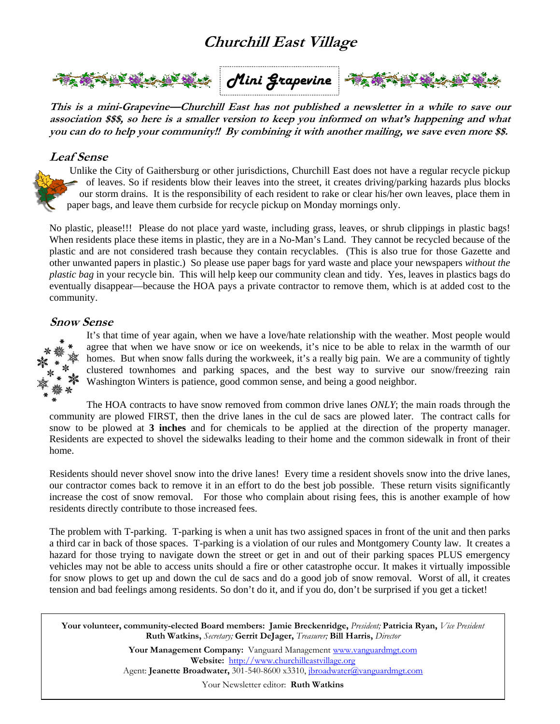# **Churchill East Village**



**This is a mini-Grapevine—Churchill East has not published a newsletter in a while to save our association \$\$\$, so here is a smaller version to keep you informed on what's happening and what you can do to help your community!! By combining it with another mailing, we save even more \$\$.** 

## **Leaf Sense**

Unlike the City of Gaithersburg or other jurisdictions, Churchill East does not have a regular recycle pickup of leaves. So if residents blow their leaves into the street, it creates driving/parking hazards plus blocks our storm drains. It is the responsibility of each resident to rake or clear his/her own leaves, place them in paper bags, and leave them curbside for recycle pickup on Monday mornings only.

No plastic, please!!! Please do not place yard waste, including grass, leaves, or shrub clippings in plastic bags! When residents place these items in plastic, they are in a No-Man's Land. They cannot be recycled because of the plastic and are not considered trash because they contain recyclables. (This is also true for those Gazette and other unwanted papers in plastic.) So please use paper bags for yard waste and place your newspapers *without the plastic bag* in your recycle bin. This will help keep our community clean and tidy. Yes, leaves in plastics bags do eventually disappear—because the HOA pays a private contractor to remove them, which is at added cost to the community.

## **Snow Sense**



It's that time of year again, when we have a love/hate relationship with the weather. Most people would agree that when we have snow or ice on weekends, it's nice to be able to relax in the warmth of our homes. But when snow falls during the workweek, it's a really big pain. We are a community of tightly clustered townhomes and parking spaces, and the best way to survive our snow/freezing rain Washington Winters is patience, good common sense, and being a good neighbor.

The HOA contracts to have snow removed from common drive lanes *ONLY*; the main roads through the community are plowed FIRST, then the drive lanes in the cul de sacs are plowed later. The contract calls for snow to be plowed at **3 inches** and for chemicals to be applied at the direction of the property manager. Residents are expected to shovel the sidewalks leading to their home and the common sidewalk in front of their home.

Residents should never shovel snow into the drive lanes! Every time a resident shovels snow into the drive lanes, our contractor comes back to remove it in an effort to do the best job possible. These return visits significantly increase the cost of snow removal. For those who complain about rising fees, this is another example of how residents directly contribute to those increased fees.

The problem with T-parking. T-parking is when a unit has two assigned spaces in front of the unit and then parks a third car in back of those spaces. T-parking is a violation of our rules and Montgomery County law. It creates a hazard for those trying to navigate down the street or get in and out of their parking spaces PLUS emergency vehicles may not be able to access units should a fire or other catastrophe occur. It makes it virtually impossible for snow plows to get up and down the cul de sacs and do a good job of snow removal. Worst of all, it creates tension and bad feelings among residents. So don't do it, and if you do, don't be surprised if you get a ticket!

**Your volunteer, community-elected Board members: Jamie Breckenridge,** *President;* **Patricia Ryan,** *Vice President*  **Ruth Watkins,** *Secretary;* **Gerrit DeJager,** *Treasurer;* **Bill Harris,** *Director* 

> **Your Management Company:** Vanguard Management www.vanguardmgt.com **Website:** http://www.churchilleastvillage.org Agent: **Jeanette Broadwater,** 301-540-8600 x3310, jbroadwater@vanguardmgt.com

> > Your Newsletter editor: **Ruth Watkins**